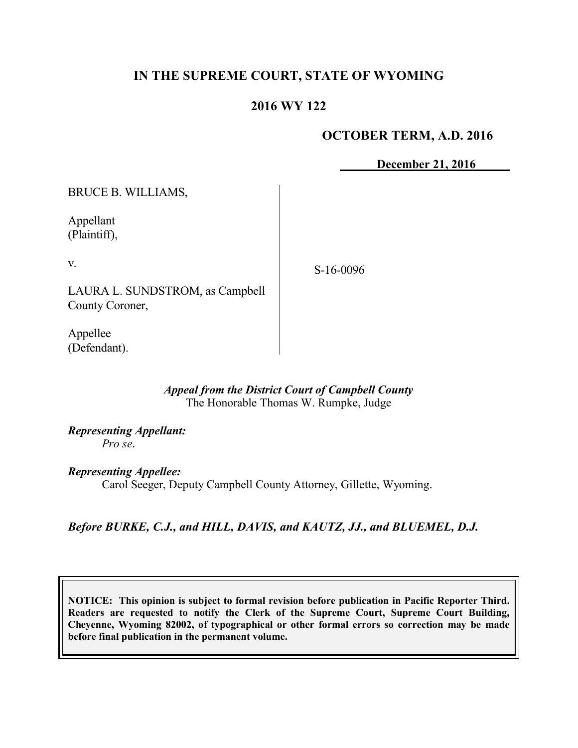# **IN THE SUPREME COURT, STATE OF WYOMING**

# **2016 WY 122**

# **OCTOBER TERM, A.D. 2016**

**December 21, 2016**

BRUCE B. WILLIAMS,

Appellant (Plaintiff),

v.

S-16-0096

LAURA L. SUNDSTROM, as Campbell County Coroner,

Appellee (Defendant).

#### *Appeal from the District Court of Campbell County* The Honorable Thomas W. Rumpke, Judge

*Representing Appellant: Pro se*.

*Representing Appellee:*

Carol Seeger, Deputy Campbell County Attorney, Gillette, Wyoming.

*Before BURKE, C.J., and HILL, DAVIS, and KAUTZ, JJ., and BLUEMEL, D.J.*

**NOTICE: This opinion is subject to formal revision before publication in Pacific Reporter Third. Readers are requested to notify the Clerk of the Supreme Court, Supreme Court Building, Cheyenne, Wyoming 82002, of typographical or other formal errors so correction may be made before final publication in the permanent volume.**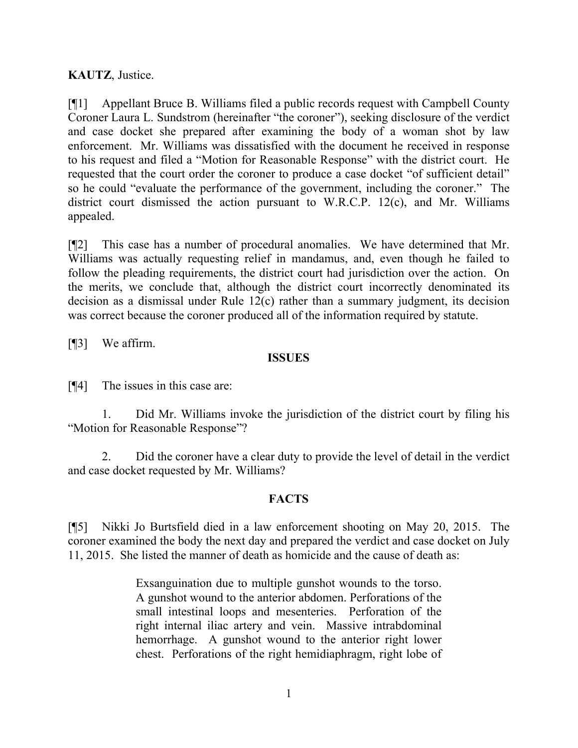**KAUTZ**, Justice.

[¶1] Appellant Bruce B. Williams filed a public records request with Campbell County Coroner Laura L. Sundstrom (hereinafter "the coroner"), seeking disclosure of the verdict and case docket she prepared after examining the body of a woman shot by law enforcement. Mr. Williams was dissatisfied with the document he received in response to his request and filed a "Motion for Reasonable Response" with the district court. He requested that the court order the coroner to produce a case docket "of sufficient detail" so he could "evaluate the performance of the government, including the coroner." The district court dismissed the action pursuant to W.R.C.P. 12(c), and Mr. Williams appealed.

[¶2] This case has a number of procedural anomalies. We have determined that Mr. Williams was actually requesting relief in mandamus, and, even though he failed to follow the pleading requirements, the district court had jurisdiction over the action. On the merits, we conclude that, although the district court incorrectly denominated its decision as a dismissal under Rule 12(c) rather than a summary judgment, its decision was correct because the coroner produced all of the information required by statute.

[¶3] We affirm.

### **ISSUES**

[¶4] The issues in this case are:

1. Did Mr. Williams invoke the jurisdiction of the district court by filing his "Motion for Reasonable Response"?

2. Did the coroner have a clear duty to provide the level of detail in the verdict and case docket requested by Mr. Williams?

# **FACTS**

[¶5] Nikki Jo Burtsfield died in a law enforcement shooting on May 20, 2015. The coroner examined the body the next day and prepared the verdict and case docket on July 11, 2015. She listed the manner of death as homicide and the cause of death as:

> Exsanguination due to multiple gunshot wounds to the torso. A gunshot wound to the anterior abdomen. Perforations of the small intestinal loops and mesenteries. Perforation of the right internal iliac artery and vein. Massive intrabdominal hemorrhage. A gunshot wound to the anterior right lower chest. Perforations of the right hemidiaphragm, right lobe of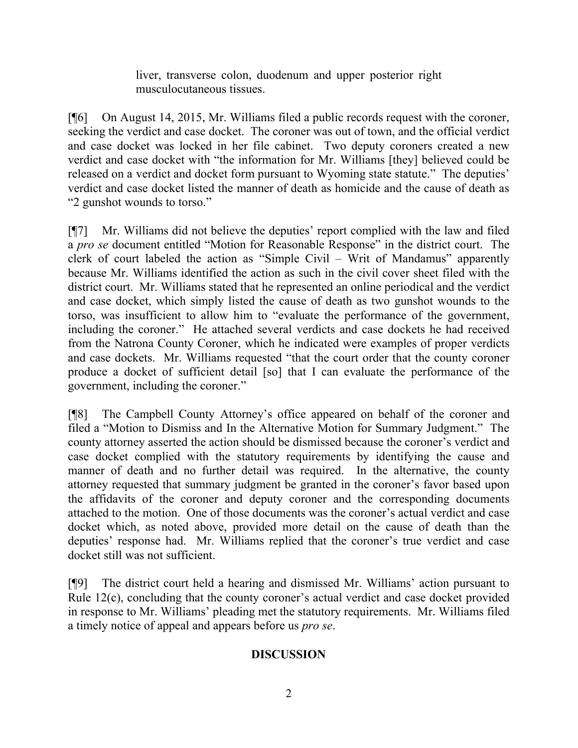liver, transverse colon, duodenum and upper posterior right musculocutaneous tissues.

[¶6] On August 14, 2015, Mr. Williams filed a public records request with the coroner, seeking the verdict and case docket. The coroner was out of town, and the official verdict and case docket was locked in her file cabinet. Two deputy coroners created a new verdict and case docket with "the information for Mr. Williams [they] believed could be released on a verdict and docket form pursuant to Wyoming state statute." The deputies' verdict and case docket listed the manner of death as homicide and the cause of death as "2 gunshot wounds to torso."

[¶7] Mr. Williams did not believe the deputies' report complied with the law and filed a *pro se* document entitled "Motion for Reasonable Response" in the district court. The clerk of court labeled the action as "Simple Civil – Writ of Mandamus" apparently because Mr. Williams identified the action as such in the civil cover sheet filed with the district court. Mr. Williams stated that he represented an online periodical and the verdict and case docket, which simply listed the cause of death as two gunshot wounds to the torso, was insufficient to allow him to "evaluate the performance of the government, including the coroner." He attached several verdicts and case dockets he had received from the Natrona County Coroner, which he indicated were examples of proper verdicts and case dockets. Mr. Williams requested "that the court order that the county coroner produce a docket of sufficient detail [so] that I can evaluate the performance of the government, including the coroner."

[¶8] The Campbell County Attorney's office appeared on behalf of the coroner and filed a "Motion to Dismiss and In the Alternative Motion for Summary Judgment." The county attorney asserted the action should be dismissed because the coroner's verdict and case docket complied with the statutory requirements by identifying the cause and manner of death and no further detail was required. In the alternative, the county attorney requested that summary judgment be granted in the coroner's favor based upon the affidavits of the coroner and deputy coroner and the corresponding documents attached to the motion. One of those documents was the coroner's actual verdict and case docket which, as noted above, provided more detail on the cause of death than the deputies' response had. Mr. Williams replied that the coroner's true verdict and case docket still was not sufficient.

[¶9] The district court held a hearing and dismissed Mr. Williams' action pursuant to Rule 12(c), concluding that the county coroner's actual verdict and case docket provided in response to Mr. Williams' pleading met the statutory requirements. Mr. Williams filed a timely notice of appeal and appears before us *pro se*.

# **DISCUSSION**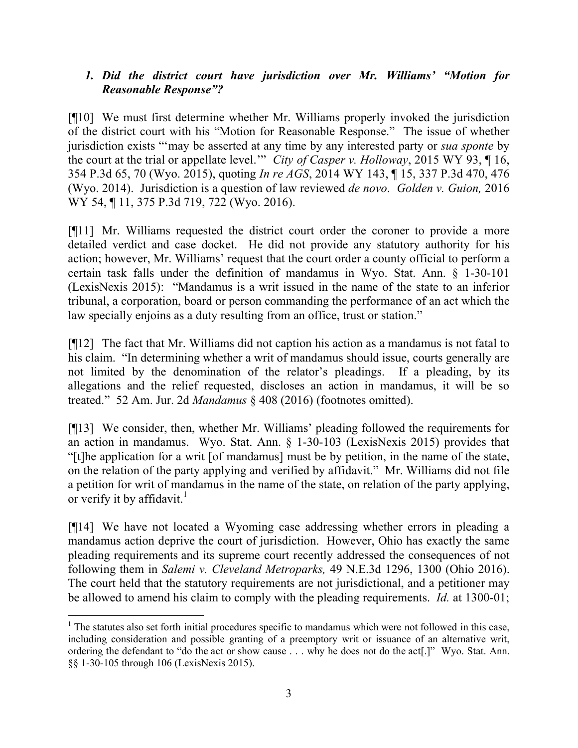# *1. Did the district court have jurisdiction over Mr. Williams' "Motion for Reasonable Response"?*

[¶10] We must first determine whether Mr. Williams properly invoked the jurisdiction of the district court with his "Motion for Reasonable Response." The issue of whether jurisdiction exists "'may be asserted at any time by any interested party or *sua sponte* by the court at the trial or appellate level.'" *City of Casper v. Holloway*, 2015 WY 93, ¶ 16, 354 P.3d 65, 70 (Wyo. 2015), quoting *In re AGS*, 2014 WY 143, ¶ 15, 337 P.3d 470, 476 (Wyo. 2014). Jurisdiction is a question of law reviewed *de novo*. *Golden v. Guion,* 2016 WY 54, ¶ 11, 375 P.3d 719, 722 (Wyo. 2016).

[¶11] Mr. Williams requested the district court order the coroner to provide a more detailed verdict and case docket. He did not provide any statutory authority for his action; however, Mr. Williams' request that the court order a county official to perform a certain task falls under the definition of mandamus in Wyo. Stat. Ann. § 1-30-101 (LexisNexis 2015): "Mandamus is a writ issued in the name of the state to an inferior tribunal, a corporation, board or person commanding the performance of an act which the law specially enjoins as a duty resulting from an office, trust or station."

[¶12] The fact that Mr. Williams did not caption his action as a mandamus is not fatal to his claim. "In determining whether a writ of mandamus should issue, courts generally are not limited by the denomination of the relator's pleadings. If a pleading, by its allegations and the relief requested, discloses an action in mandamus, it will be so treated." 52 Am. Jur. 2d *Mandamus* § 408 (2016) (footnotes omitted).

[¶13] We consider, then, whether Mr. Williams' pleading followed the requirements for an action in mandamus. Wyo. Stat. Ann. § 1-30-103 (LexisNexis 2015) provides that "[t]he application for a writ [of mandamus] must be by petition, in the name of the state, on the relation of the party applying and verified by affidavit." Mr. Williams did not file a petition for writ of mandamus in the name of the state, on relation of the party applying, or verify it by affidavit.<sup>1</sup>

[¶14] We have not located a Wyoming case addressing whether errors in pleading a mandamus action deprive the court of jurisdiction. However, Ohio has exactly the same pleading requirements and its supreme court recently addressed the consequences of not following them in *Salemi v. Cleveland Metroparks,* 49 N.E.3d 1296, 1300 (Ohio 2016). The court held that the statutory requirements are not jurisdictional, and a petitioner may be allowed to amend his claim to comply with the pleading requirements. *Id.* at 1300-01;

l

 $1$ . The statutes also set forth initial procedures specific to mandamus which were not followed in this case, including consideration and possible granting of a preemptory writ or issuance of an alternative writ, ordering the defendant to "do the act or show cause . . . why he does not do the act[.]" Wyo. Stat. Ann. §§ 1-30-105 through 106 (LexisNexis 2015).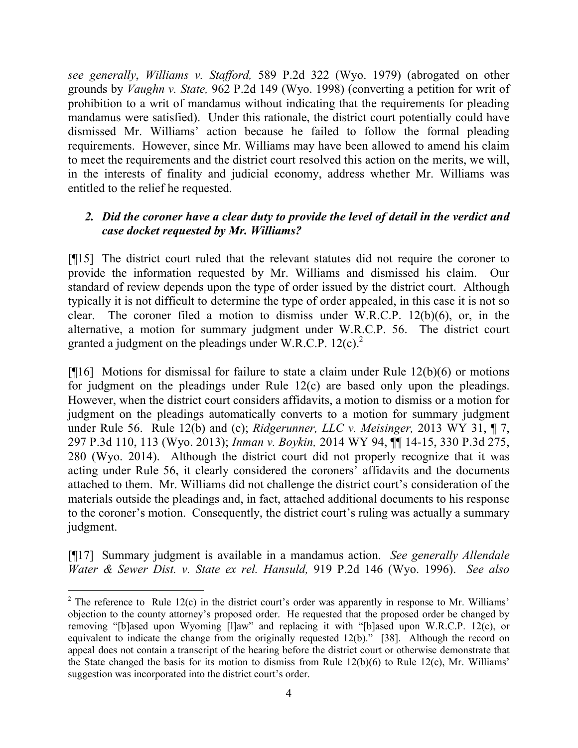*see generally*, *Williams v. Stafford,* 589 P.2d 322 (Wyo. 1979) (abrogated on other grounds by *Vaughn v. State,* 962 P.2d 149 (Wyo. 1998) (converting a petition for writ of prohibition to a writ of mandamus without indicating that the requirements for pleading mandamus were satisfied). Under this rationale, the district court potentially could have dismissed Mr. Williams' action because he failed to follow the formal pleading requirements. However, since Mr. Williams may have been allowed to amend his claim to meet the requirements and the district court resolved this action on the merits, we will, in the interests of finality and judicial economy, address whether Mr. Williams was entitled to the relief he requested.

# *2. Did the coroner have a clear duty to provide the level of detail in the verdict and case docket requested by Mr. Williams?*

[¶15] The district court ruled that the relevant statutes did not require the coroner to provide the information requested by Mr. Williams and dismissed his claim. Our standard of review depends upon the type of order issued by the district court. Although typically it is not difficult to determine the type of order appealed, in this case it is not so clear. The coroner filed a motion to dismiss under W.R.C.P. 12(b)(6), or, in the alternative, a motion for summary judgment under W.R.C.P. 56. The district court granted a judgment on the pleadings under W.R.C.P.  $12(c)^2$ .

[¶16] Motions for dismissal for failure to state a claim under Rule 12(b)(6) or motions for judgment on the pleadings under Rule 12(c) are based only upon the pleadings. However, when the district court considers affidavits, a motion to dismiss or a motion for judgment on the pleadings automatically converts to a motion for summary judgment under Rule 56. Rule 12(b) and (c); *Ridgerunner, LLC v. Meisinger,* 2013 WY 31, ¶ 7, 297 P.3d 110, 113 (Wyo. 2013); *Inman v. Boykin,* 2014 WY 94, ¶¶ 14-15, 330 P.3d 275, 280 (Wyo. 2014). Although the district court did not properly recognize that it was acting under Rule 56, it clearly considered the coroners' affidavits and the documents attached to them. Mr. Williams did not challenge the district court's consideration of the materials outside the pleadings and, in fact, attached additional documents to his response to the coroner's motion. Consequently, the district court's ruling was actually a summary judgment.

[¶17] Summary judgment is available in a mandamus action. *See generally Allendale Water & Sewer Dist. v. State ex rel. Hansuld,* 919 P.2d 146 (Wyo. 1996). *See also*

l

 $2$  The reference to Rule 12(c) in the district court's order was apparently in response to Mr. Williams' objection to the county attorney's proposed order. He requested that the proposed order be changed by removing "[b]ased upon Wyoming [l]aw" and replacing it with "[b]ased upon W.R.C.P. 12(c), or equivalent to indicate the change from the originally requested 12(b)." [38]. Although the record on appeal does not contain a transcript of the hearing before the district court or otherwise demonstrate that the State changed the basis for its motion to dismiss from Rule 12(b)(6) to Rule 12(c), Mr. Williams' suggestion was incorporated into the district court's order.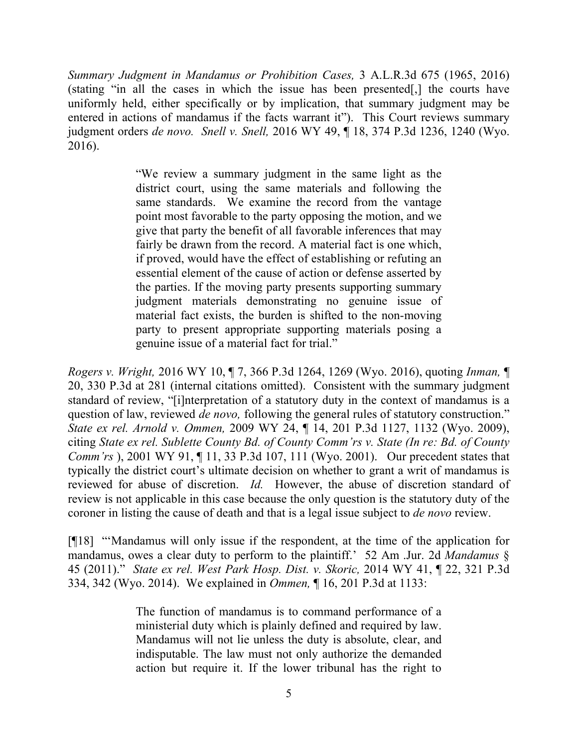*Summary Judgment in Mandamus or Prohibition Cases,* 3 A.L.R.3d 675 (1965, 2016) (stating "in all the cases in which the issue has been presented[,] the courts have uniformly held, either specifically or by implication, that summary judgment may be entered in actions of mandamus if the facts warrant it"). This Court reviews summary judgment orders *de novo. Snell v. Snell,* 2016 WY 49, ¶ 18, 374 P.3d 1236, 1240 (Wyo. 2016).

> "We review a summary judgment in the same light as the district court, using the same materials and following the same standards. We examine the record from the vantage point most favorable to the party opposing the motion, and we give that party the benefit of all favorable inferences that may fairly be drawn from the record. A material fact is one which, if proved, would have the effect of establishing or refuting an essential element of the cause of action or defense asserted by the parties. If the moving party presents supporting summary judgment materials demonstrating no genuine issue of material fact exists, the burden is shifted to the non-moving party to present appropriate supporting materials posing a genuine issue of a material fact for trial."

*Rogers v. Wright,* 2016 WY 10, ¶ 7, 366 P.3d 1264, 1269 (Wyo. 2016), quoting *Inman,* ¶ 20, 330 P.3d at 281 (internal citations omitted). Consistent with the summary judgment standard of review, "[i]nterpretation of a statutory duty in the context of mandamus is a question of law, reviewed *de novo,* following the general rules of statutory construction." *State ex rel. Arnold v. Ommen,* 2009 WY 24, ¶ 14, 201 P.3d 1127, 1132 (Wyo. 2009), citing *State ex rel. Sublette County Bd. of County Comm'rs v. State (In re: Bd. of County Comm'rs* ), 2001 WY 91, 11, 33 P.3d 107, 111 (Wyo. 2001). Our precedent states that typically the district court's ultimate decision on whether to grant a writ of mandamus is reviewed for abuse of discretion. *Id.* However, the abuse of discretion standard of review is not applicable in this case because the only question is the statutory duty of the coroner in listing the cause of death and that is a legal issue subject to *de novo* review.

[¶18] "'Mandamus will only issue if the respondent, at the time of the application for mandamus, owes a clear duty to perform to the plaintiff.' 52 Am .Jur. 2d *Mandamus* § 45 (2011)." *State ex rel. West Park Hosp. Dist. v. Skoric,* 2014 WY 41, ¶ 22, 321 P.3d 334, 342 (Wyo. 2014). We explained in *Ommen,* ¶ 16, 201 P.3d at 1133:

> The function of mandamus is to command performance of a ministerial duty which is plainly defined and required by law. Mandamus will not lie unless the duty is absolute, clear, and indisputable. The law must not only authorize the demanded action but require it. If the lower tribunal has the right to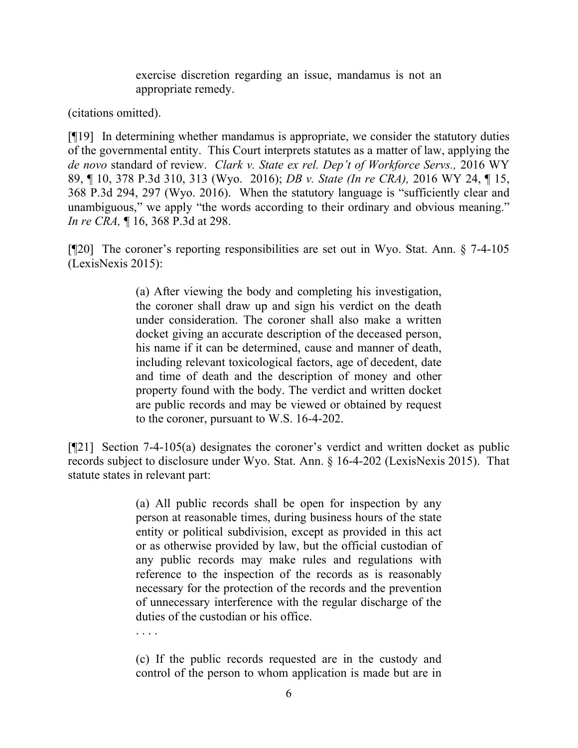exercise discretion regarding an issue, mandamus is not an appropriate remedy.

(citations omitted).

[¶19] In determining whether mandamus is appropriate, we consider the statutory duties of the governmental entity. This Court interprets statutes as a matter of law, applying the *de novo* standard of review. *Clark v. State ex rel. Dep't of Workforce Servs.,* 2016 WY 89, ¶ 10, 378 P.3d 310, 313 (Wyo. 2016); *DB v. State (In re CRA),* 2016 WY 24, ¶ 15, 368 P.3d 294, 297 (Wyo. 2016). When the statutory language is "sufficiently clear and unambiguous," we apply "the words according to their ordinary and obvious meaning." *In re CRA,* ¶ 16, 368 P.3d at 298.

[¶20] The coroner's reporting responsibilities are set out in Wyo. Stat. Ann. § 7-4-105 (LexisNexis 2015):

> (a) After viewing the body and completing his investigation, the coroner shall draw up and sign his verdict on the death under consideration. The coroner shall also make a written docket giving an accurate description of the deceased person, his name if it can be determined, cause and manner of death, including relevant toxicological factors, age of decedent, date and time of death and the description of money and other property found with the body. The verdict and written docket are public records and may be viewed or obtained by request to the coroner, pursuant to W.S. 16-4-202.

[¶21] Section 7-4-105(a) designates the coroner's verdict and written docket as public records subject to disclosure under Wyo. Stat. Ann. § 16-4-202 (LexisNexis 2015). That statute states in relevant part:

> (a) All public records shall be open for inspection by any person at reasonable times, during business hours of the state entity or political subdivision, except as provided in this act or as otherwise provided by law, but the official custodian of any public records may make rules and regulations with reference to the inspection of the records as is reasonably necessary for the protection of the records and the prevention of unnecessary interference with the regular discharge of the duties of the custodian or his office.

(c) If the public records requested are in the custody and control of the person to whom application is made but are in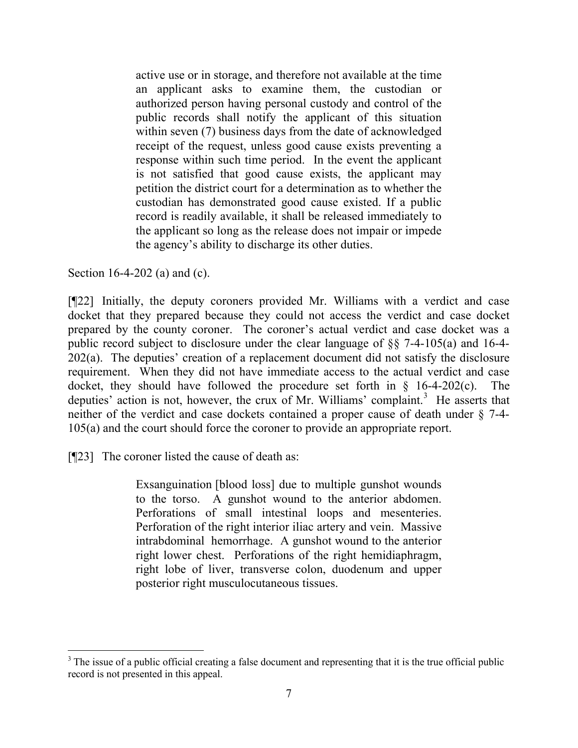active use or in storage, and therefore not available at the time an applicant asks to examine them, the custodian or authorized person having personal custody and control of the public records shall notify the applicant of this situation within seven (7) business days from the date of acknowledged receipt of the request, unless good cause exists preventing a response within such time period. In the event the applicant is not satisfied that good cause exists, the applicant may petition the district court for a determination as to whether the custodian has demonstrated good cause existed. If a public record is readily available, it shall be released immediately to the applicant so long as the release does not impair or impede the agency's ability to discharge its other duties.

Section 16-4-202 (a) and (c).

[¶22] Initially, the deputy coroners provided Mr. Williams with a verdict and case docket that they prepared because they could not access the verdict and case docket prepared by the county coroner. The coroner's actual verdict and case docket was a public record subject to disclosure under the clear language of §§ 7-4-105(a) and 16-4- 202(a). The deputies' creation of a replacement document did not satisfy the disclosure requirement. When they did not have immediate access to the actual verdict and case docket, they should have followed the procedure set forth in  $\S$  16-4-202(c). The deputies' action is not, however, the crux of Mr. Williams' complaint.<sup>3</sup> He asserts that neither of the verdict and case dockets contained a proper cause of death under § 7-4- 105(a) and the court should force the coroner to provide an appropriate report.

[¶23] The coroner listed the cause of death as:

Exsanguination [blood loss] due to multiple gunshot wounds to the torso. A gunshot wound to the anterior abdomen. Perforations of small intestinal loops and mesenteries. Perforation of the right interior iliac artery and vein. Massive intrabdominal hemorrhage. A gunshot wound to the anterior right lower chest. Perforations of the right hemidiaphragm, right lobe of liver, transverse colon, duodenum and upper posterior right musculocutaneous tissues.

<sup>&</sup>lt;sup>3</sup> The issue of a public official creating a false document and representing that it is the true official public record is not presented in this appeal.